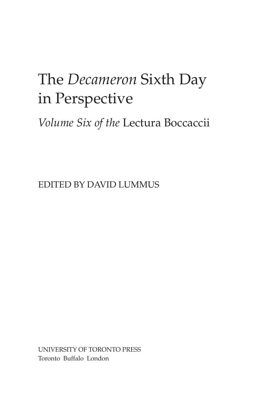## The *Decameron* Sixth Day in Perspective

*Volume Six of the* Lectura Boccaccii

EDITED BY DAVID LUMMUS

 Toronto Buffalo London UNIVERSITY OF TORONTO PRESS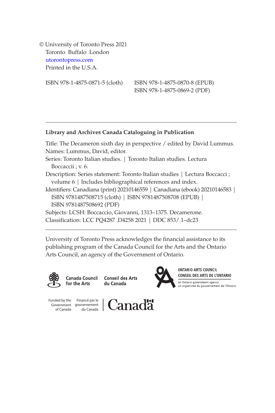Toronto Buffalo London © University of Toronto Press 2021 [utorontopress.com](http://utorontopress.com)  Printed in the U.S.A.

ISBN 978-1-4875-0871-5 (cloth) ISBN 978-1-4875-0870-8 (EPUB) ISBN 978-1-4875-0869-2 (PDF)

## **Library and Archives Canada Cataloguing in Publication**

Title: The Decameron sixth day in perspective / edited by David Lummus. Names: Lummus, David, editor.

- Series: Toronto Italian studies. | Toronto Italian studies. Lectura Boccaccii ; v. 6.
- Description: Series statement: Toronto Italian studies | Lectura Boccacci ; volume 6 | Includes bibliographical references and index.
- Identifiers: Canadiana (print) 20210146559 | Canadiana (ebook) 20210146583 | ISBN 9781487508715 (cloth) | ISBN 9781487508708 (EPUB) | ISBN 9781487508692 (PDF)

Subjects: LCSH: Boccaccio, Giovanni, 1313–1375. Decamerone. Classification: LCC PQ4287 .D4258 2021 | DDC 853/.1–dc23

University of Toronto Press acknowledges the financial assistance to its publishing program of the Canada Council for the Arts and the Ontario Arts Council, an agency of the Government of Ontario.



Canada Council for the Arts

**Conseil des Arts** du Canada



**ONTARIO ARTS COUNCIL** CONSEIL DES ARTS DE L'ONTARIO an Ontario government agency un organisme du gouvernement de l'Ontario

Funded by the Financé par le of Canada

Government gouvernement<br>
of Canada du Canada

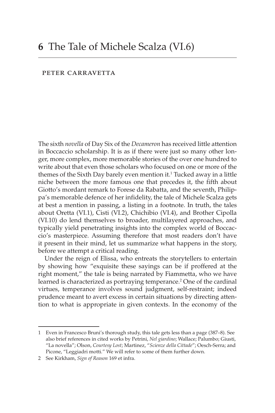## peter carravetta

The sixth *novella* of Day Six of the *Decameron* has received little attention in Boccaccio scholarship. It is as if there were just so many other longer, more complex, more memorable stories of the over one hundred to write about that even those scholars who focused on one or more of the themes of the Sixth Day barely even mention it.<sup>1</sup> Tucked away in a little niche between the more famous one that precedes it, the fifth about Giotto's mordant remark to Forese da Rabatta, and the seventh, Philippa's memorable defence of her infidelity, the tale of Michele Scalza gets at best a mention in passing, a listing in a footnote. In truth, the tales about Oretta (VI.1), Cisti (VI.2), Chichibio (VI.4), and Brother Cipolla (VI.10) do lend themselves to broader, multilayered approaches, and typically yield penetrating insights into the complex world of Boccaccio's masterpiece. Assuming therefore that most readers don't have it present in their mind, let us summarize what happens in the story, before we attempt a critical reading.

Under the reign of Elissa, who entreats the storytellers to entertain by showing how "exquisite these sayings can be if proffered at the right moment," the tale is being narrated by Fiammetta, who we have learned is characterized as portraying temperance.<sup>2</sup> One of the cardinal virtues, temperance involves sound judgment, self-restraint; indeed prudence meant to avert excess in certain situations by directing attention to what is appropriate in given contexts. In the economy of the

<sup>1</sup> Even in Francesco Bruni's thorough study, this tale gets less than a page (387–8). See also brief references in cited works by Petrini, *Nel giardino*; Wallace; Palumbo; Giusti, "La novella"; Olson, *Courtesy Lost*; Martinez, "*Scienze della Cittade*"; Oesch-Serra; and Picone, "Leggiadri motti." We will refer to some of them further down.

<sup>2</sup> See Kirkham, *Sign of Reason* 169 et infra.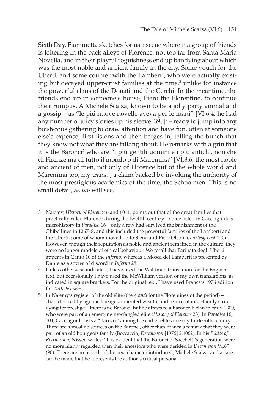Sixth Day, Fiammetta sketches for us a scene wherein a group of friends is loitering in the back alleys of Florence, not too far from Santa Maria Novella, and in their playful roguishness end up bandying about which was the most noble and ancient family in the city. Some vouch for the Uberti, and some counter with the Lamberti, who were actually existing but decayed upper-crust families at the time, $3$  unlike for instance the powerful clans of the Donati and the Cerchi. In the meantime, the friends end up in someone's house, Piero the Florentine, to continue their rumpus. A Michele Scalza, known to be a jolly party animal and a gossip – as "le piú nuove novelle aveva per le mani" [VI.6.4; he had any number of juicy stories up his sleeve; 395]4 – ready to jump into any boisterous gathering to draw attention and have fun, often at someone else's expense, first listens and then barges in, telling the bunch that they know not what they are talking about. He remarks with a grin that it is the Baronci<sup>5</sup> who are "i più gentili uomini e i più antichi, non che di Firenze ma di tutto il mondo o di Maremma" [VI.8.6; the most noble and ancient of men, not only of Florence but of the whole world and Maremma too; my trans.], a claim backed by invoking the authority of the most prestigious academics of the time, the Schoolmen. This is no small detail, as we will see.

<sup>3</sup> Najemy, *History of Florence* 6 and 60–1, points out that of the great families that practically ruled Florence during the twelfth century – some listed in Cacciaguida's microhistory in *Paradiso* 16 – only a few had survived the banishment of the Ghibellines in 1267–8, and this included the powerful families of the Lamberti and the Uberti, some of whom moved on to Siena and Pisa (Olson, *Courtesy Lost* 140). However, though their reputation as noble and ancient remained in the culture, they were no longer models of ethical behaviour. We recall that Farinata degli Uberti appears in Canto 10 of the *Inferno*, whereas a Mosca dei Lamberti is presented by Dante as a sower of discord in *Inferno* 28.

<sup>4</sup> Unless otherwise indicated, I have used the Waldman translation for the English text, but occasionally I have used the McWilliam version or my own translations, as indicated in square brackets. For the original text, I have used Branca's 1976 edition for *Tutte le opere*.

<sup>5</sup> In Najemy's register of the old élite (the *grandi* for the Florentines of the period) – characterized by agnatic lineages, inherited wealth, and recurrent inter-family strife vying for prestige – there is no Baronci, but he attests to a Baroncelli clan in early 1300, who were part of an emerging newfangled élite (*History of Florence* 23). In *Paradiso* 16, 104, Cacciaguida lists a "Barucci" among the earlier élites in early thirteenth century. There are almost no sources on the Baronci, other than Branca's remark that they were part of an old bourgeois family (Boccaccio, *Decameron* [1976] 2:1062). In his *Ethics of Retribution*, Nissen writes: "It is evident that the Baronci of Sacchetti's generation were no more highly regarded than their ancestors who were derided in *Decameron* VI.6" (90). There are no records of the next character introduced, Michele Scalza, and a case can be made that he represents the author's critical persona.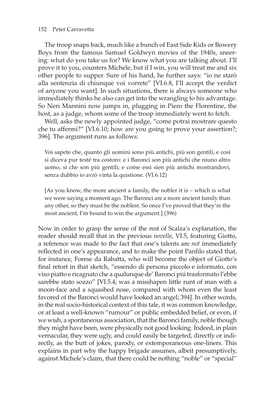The troop snaps back, much like a bunch of East Side Kids or Bowery Boys from the famous Samuel Goldwyn movies of the 1940s, sneering: what do you take us for? We know what you are talking about. I'll prove it to you, counters Michele, but if I win, you will treat me and six other people to supper. Sure of his hand, he further says: "io ne starò alla sentenzia di chiunque voi vorrete" [VI.6.8, I'll accept the verdict of anyone you want]. In such situations, there is always someone who immediately thinks he also can get into the wrangling to his advantage. So Neri Mannini now jumps in, plugging in Piero the Florentine, the host, as a judge, whom some of the troop immediately went to fetch.

Well, asks the newly appointed judge, "come potrai mostrare questo che tu affermi?" [VI.6.10; how are you going to prove your assertion?; 396]. The argument runs as follows:

Voi sapete che, quanto gli uomini sono più antichi, più son gentili, e così si diceva pur testé tra costoro: e i Baronci son più antichi che niuno altro uomo, sì che son più gentili; e come essi sien più antichi mostrandovi, senza dubbio io avrò vinta la quistione. (VI.6.12)

[As you know, the more ancient a family, the nobler it is – which is what we were saying a moment ago. The Baronci are a more ancient family than any other, so they must be the noblest. So once I've proved that they're the most ancient, I'm bound to win the argument.] (396)

Now in order to grasp the sense of the rest of Scalza's explanation, the reader should recall that in the previous *novella*, VI.5, featuring Giotto, a reference was made to the fact that one's talents are *not* immediately reflected in one's appearance, and to make the point Panfilo stated that, for instance, Forese da Rabatta, who will become the object of Giotto's final retort in that sketch, "essendo di persona piccolo e isformato, con viso piatto e ricagnato che a qualunque de' Baronci piú trasformato l'ebbe sarebbe stato sozzo" [VI.5.4; was a misshapen little runt of man with a moon-face and a squashed nose, compared with whom even the least favored of the Baronci would have looked an angel; 394]. In other words, in the real socio-historical context of this tale, it was common knowledge, or at least a well-known "rumour" or public embedded belief, or even, if we wish, a spontaneous association, that the Baronci family, noble though they might have been, were physically not good looking. Indeed, in plain vernacular, they were ugly, and could easily be targeted, directly or indirectly, as the butt of jokes, parody, or extemporaneous one-liners. This explains in part why the happy brigade assumes, albeit presumptively, against Michele's claim, that there could be nothing "noble" or "special"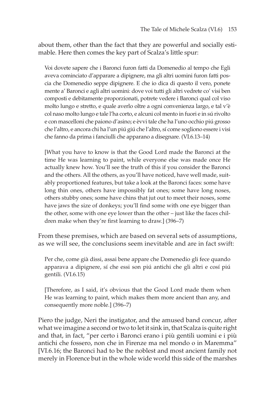about them, other than the fact that they are powerful and socially estimable. Here then comes the key part of Scalza's little spur:

Voi dovete sapere che i Baronci furon fatti da Domenedio al tempo che Egli aveva cominciato d'apparare a dipignere, ma gli altri uomini furon fatti poscia che Domenedio seppe dipignere. E che io dica di questo il vero, ponete mente a' Baronci e agli altri uomini: dove voi tutti gli altri vedrete co' visi ben composti e debitamente proporzionati, potrete vedere i Baronci qual col viso molto lungo e stretto, e quale averlo oltre a ogni convenienza largo, e tal v'è col naso molto lungo e tale l'ha corto, e alcuni col mento in fuori e in sú rivolto e con mascelloni che paiono d'asino; e èvvi tale che ha l'uno occhio piú grosso che l'altro, e ancora chi ha l'un piú giú che l'altro, sí come sogliono essere i visi che fanno da prima i fanciulli che apparano a disegnare. (VI.6.13–14)

[What you have to know is that the Good Lord made the Baronci at the time He was learning to paint, while everyone else was made once He actually knew how. You'll see the truth of this if you consider the Baronci and the others. All the others, as you'll have noticed, have well made, suitably proportioned features, but take a look at the Baronci faces: some have long thin ones, others have impossibly fat ones; some have long noses, others stubby ones; some have chins that jut out to meet their noses, some have jaws the size of donkeys; you'll find some with one eye bigger than the other, some with one eye lower than the other – just like the faces children make when they're first learning to draw.] (396-7)

From these premises, which are based on several sets of assumptions, as we will see, the conclusions seem inevitable and are in fact swift:

Per che, come già dissi, assai bene appare che Domenedio gli fece quando apparava a dipignere, sí che essi son piú antichi che gli altri e cosí piú gentili. (VI.6.15)

[Therefore, as I said, it's obvious that the Good Lord made them when He was learning to paint, which makes them more ancient than any, and consequently more noble.] (396–7)

Piero the judge, Neri the instigator, and the amused band concur, after what we imagine a second or two to let it sink in, that Scalza is quite right and that, in fact, "per certo i Baronci erano i più gentili uomini e i più antichi che fossero, non che in Firenze ma nel mondo o in Maremma" [VI.6.16; the Baronci had to be the noblest and most ancient family not merely in Florence but in the whole wide world this side of the marshes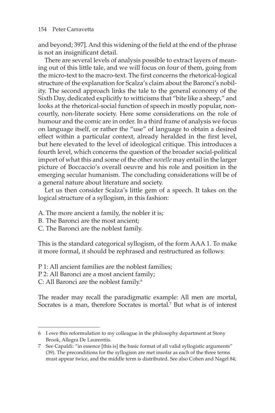and beyond; 397]. And this widening of the field at the end of the phrase is not an insignificant detail.

There are several levels of analysis possible to extract layers of meaning out of this little tale, and we will focus on four of them, going from the micro-text to the macro-text. The first concerns the rhetorical-logical structure of the explanation for Scalza's claim about the Baronci's nobility. The second approach links the tale to the general economy of the Sixth Day, dedicated explicitly to witticisms that "bite like a sheep," and looks at the rhetorical-social function of speech in mostly popular, noncourtly, non-literate society. Here some considerations on the role of humour and the comic are in order. In a third frame of analysis we focus on language itself, or rather the "use" of language to obtain a desired effect within a particular context, already heralded in the first level, but here elevated to the level of ideological critique. This introduces a fourth level, which concerns the question of the broader social-political import of what this and some of the other *novelle* may entail in the larger picture of Boccaccio's overall oeuvre and his role and position in the emerging secular humanism. The concluding considerations will be of a general nature about literature and society.

Let us then consider Scalza's little gem of a speech. It takes on the logical structure of a syllogism, in this fashion:

A. The more ancient a family, the nobler it is;

- B. The Baronci are the most ancient;
- C. The Baronci are the noblest family.

This is the standard categorical syllogism, of the form AAA 1. To make it more formal, it should be rephrased and restructured as follows:

P 1: All ancient families are the noblest families;

P 2: All Baronci are a most ancient family;

C: All Baronci are the noblest family.<sup>6</sup>

The reader may recall the paradigmatic example: All men are mortal, Socrates is a man, therefore Socrates is mortal.<sup>7</sup> But what is of interest

<sup>6</sup> I owe this reformulation to my colleague in the philosophy department at Stony Brook, Allegra De Laurentiis.

<sup>7</sup> See Capaldi: "in essence [this is] the basic format of all valid syllogistic arguments" (39). The preconditions for the syllogism are met insofar as each of the three terms must appear twice, and the middle term is distributed. See also Cohen and Nagel 84;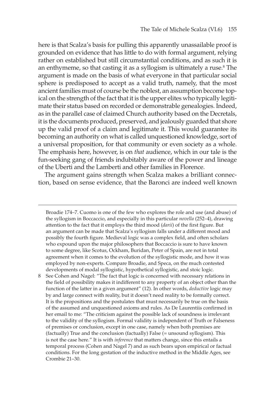here is that Scalza's basis for pulling this apparently unassailable proof is grounded on evidence that has little to do with formal argument, relying rather on established but still circumstantial conditions, and as such it is an enthymeme, so that casting it as a syllogism is ultimately a ruse.<sup>8</sup> The argument is made on the basis of what everyone in that particular social sphere is predisposed to accept as a valid truth, namely, that the most ancient families must of course be the noblest, an assumption become topical on the strength of the fact that it is the upper elites who typically legitimate their status based on recorded or demonstrable genealogies. Indeed, as in the parallel case of claimed Church authority based on the Decretals, it is the documents produced, preserved, and jealously guarded that shore up the valid proof of a claim and legitimate it. This would guarantee its becoming an authority on what is called unquestioned knowledge, sort of a universal proposition, for that community or even society as a whole. The emphasis here, however, is on *that* audience, which in our tale is the fun-seeking gang of friends indubitably aware of the power and lineage of the Uberti and the Lamberti and other families in Florence.

The argument gains strength when Scalza makes a brilliant connection, based on sense evidence, that the Baronci are indeed well known

Broadie 174–7. Cuomo is one of the few who explores the role and use (and abuse) of the syllogism in Boccaccio, and especially in this particular *novella* (252–4), drawing attention to the fact that it employs the third mood (*darii*) of the first figure. But an argument can be made that Scalza's syllogism falls under a different mood and possibly the fourth figure. Medieval logic was a complex field, and often scholars who expound upon the major philosophers that Boccaccio is sure to have known to some degree, like Scotus, Ockham, Buridan, Peter of Spain, are not in total agreement when it comes to the evolution of the syllogistic mode, and how it was employed by non-experts. Compare Broadie, and Speca, on the much contested developments of modal syllogistic, hypothetical syllogistic, and stoic logic.

8 See Cohen and Nagel: "The fact that logic is concerned with necessary relations in the field of possibility makes it indifferent to any property of an object other than the function of the latter in a given argument" (12). In other words, *deductive* logic may by and large connect with reality, but it doesn't need reality to be formally correct. It is the propositions and the postulates that must necessarily be true on the basis of the assumed and unquestioned axioms and rules. As De Laurentiis confirmed in her email to me: "The criticism against the possible lack of soundness is irrelevant to the validity of the syllogism. Formal validity is independent of Truth or Falseness of premises or conclusion, except in one case, namely when both premises are (factually) True and the conclusion (factually) False (= unsound syllogism). This is not the case here." It is with *inference* that matters change, since this entails a temporal process (Cohen and Nagel 7) and as such bears upon empirical or factual conditions. For the long gestation of the inductive method in the Middle Ages, see Crombie 21–30.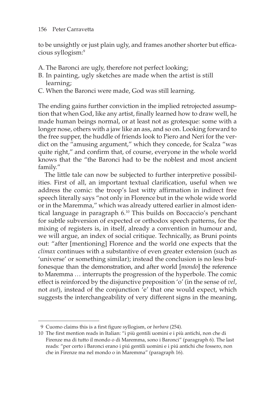to be unsightly or just plain ugly, and frames another shorter but efficacious syllogism:9

- A. The Baronci are ugly, therefore not perfect looking;
- B. In painting, ugly sketches are made when the artist is still learning;
- C. When the Baronci were made, God was still learning.

The ending gains further conviction in the implied retrojected assumption that when God, like any artist, finally learned how to draw well, he made human beings normal, or at least not as grotesque: some with a longer nose, others with a jaw like an ass, and so on. Looking forward to the free supper, the huddle of friends look to Piero and Neri for the verdict on the "amusing argument," which they concede, for Scalza "was quite right," and confirm that, of course, everyone in the whole world knows that the "the Baronci had to be the noblest and most ancient family."

 fonesque than the demonstration, and after world [*mondo*] the reference to Maremma … interrupts the progression of the hyperbole. The comic The little tale can now be subjected to further interpretive possibilities. First of all, an important textual clarification, useful when we address the comic: the troop's last witty affirmation in indirect free speech literally says "not only in Florence but in the whole wide world or in the Maremma," which was already uttered earlier in almost identical language in paragraph 6.10 This builds on Boccaccio's penchant for subtle subversion of expected or orthodox speech patterns, for the mixing of registers is, in itself, already a convention in humour and, we will argue, an index of social critique. Technically, as Bruni points out: "after [mentioning] Florence and the world one expects that the *climax* continues with a substantive of even greater extension (such as 'universe' or something similar); instead the conclusion is no less bufeffect is reinforced by the disjunctive preposition 'o' (in the sense of *vel*, not *aut*), instead of the conjunction 'e' that one would expect, which suggests the interchangeability of very different signs in the meaning,

<sup>9</sup> Cuomo claims this is a first figure syllogism, or *barbara* (254).

<sup>10</sup> The first mention reads in Italian: "i più gentili uomini e i più antichi, non che di Firenze ma di tutto il mondo o di Maremma, sono i Baronci" (paragraph 6). The last reads: "per certo i Baronci erano i piú gentili uomini e i piú antichi che fossero, non che in Firenze ma nel mondo o in Maremma" (paragraph 16).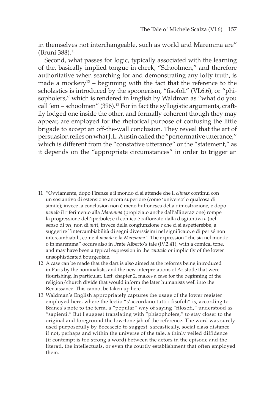in themselves not interchangeable, such as world and Maremma are" (Bruni 388).<sup>11</sup>

Second, what passes for logic, typically associated with the learning of the, basically implied tongue-in-cheek, "Schoolmen," and therefore authoritative when searching for and demonstrating any lofty truth, is made a mockery<sup>12</sup> – beginning with the fact that the reference to the scholastics is introduced by the spoonerism, "fisofoli" (VI.6.6), or "phisopholers," which is rendered in English by Waldman as "what do you call 'em – schoolmen" (396).13 For in fact the syllogistic arguments, craftily lodged one inside the other, and formally coherent though they may appear, are employed for the rhetorical purpose of confusing the little brigade to accept an off-the-wall conclusion. They reveal that the art of persuasion relies on what J.L. Austin called the "performative utterance," which is different from the "constative utterance" or the "statement," as it depends on the "appropriate circumstances" in order to trigger an

<sup>11 &</sup>quot;Ovviamente, dopo Firenze e il mondo ci si attende che il *climax* continui con un sostantivo di estensione ancora superiore (come 'universo' o qualcosa di simile); invece la conclusion non è meno buffonesca della dimostrazione, e dopo *mondo* il riferimento alla *Maremma* (propiziato anche dall'allitterazione) rompe la progressione dell'iperbole; e il comico è rafforzato dalla disgiuntiva *o* (nel senso di *vel*, non di *aut*), invece della congiunzione *e* che ci si aspetterebbe, a suggerire l'intercambiabilità di segni diverssisimi nel significato, e di per sé non intercambiabili, come il *mondo* e la *Maremma*." The expression "che sia nel mondo o in maremma" occurs also in Frate Alberto's tale (IV.2.41), with a comical tone, and may have been a typical expression in the *contado* or implicitly of the lower unsophisticated bourgeoisie.

<sup>12</sup> A case can be made that the dart is also aimed at the reforms being introduced in Paris by the nominalists, and the new interpretations of Aristotle that were flourishing. In particular, Leff, chapter 2, makes a case for the beginning of the religion/church divide that would inform the later humanists well into the Renaissance. This cannot be taken up here.

<sup>13</sup> Waldman's English appropriately captures the usage of the lower register employed here, where the lectio "s'accordano tutti i fisofoli" is, according to Branca's note to the term, a "popular" way of saying "filosofi," understood as "sapienti." But I suggest translating with "phisopholers," to stay closer to the original and foreground the low-tone jab of the reference. The word was surely used purposefully by Boccaccio to suggest, sarcastically, social class distance if not, perhaps and within the universe of the tale, a thinly veiled diffidence (if contempt is too strong a word) between the actors in the episode and the literati, the intellectuals, or even the courtly establishment that often employed them.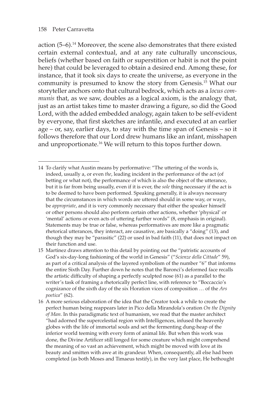action  $(5-6)$ .<sup>14</sup> Moreover, the scene also demonstrates that there existed certain external contextual, and at any rate culturally unconscious, beliefs (whether based on faith or superstition or habit is not the point here) that could be leveraged to obtain a desired end. Among these, for instance, that it took six days to create the universe, as everyone in the community is presumed to know the story from Genesis.15 What our storyteller anchors onto that cultural bedrock, which acts as a *locus communis* that, as we saw, doubles as a logical axiom, is the analogy that, just as an artist takes time to master drawing a figure, so did the Good Lord, with the added embedded analogy, again taken to be self-evident by everyone, that first sketches are infantile, and executed at an earlier age – or, say, earlier days, to stay with the time span of Genesis – so it follows therefore that our Lord drew humans like an infant, misshapen and unproportionate.<sup>16</sup> We will return to this topos further down.

<sup>14</sup> To clarify what Austin means by performative: "The uttering of the words is, indeed, usually a, or even *the*, leading incident in the performance of the act (of betting or what not), the performance of which is also the object of the utterance, but it is far from being usually, even if it is ever, the *sole* thing necessary if the act is to be deemed to have been performed. Speaking generally, it is always necessary that the circumstances in which words are uttered should in some way, or ways, be *appropriate*, and it is very commonly necessary that either the speaker himself or other persons should also perform certain other actions, whether 'physical' or 'mental' actions or even acts of uttering further words" (8, emphasis in original). Statements may be true or false, whereas performatives are more like a pragmatic rhetorical utterances, they interact, are causative, are basically a "doing" (13), and though they may be "parasitic" (22) or used in bad faith (11), that does not impact on their function and use.

<sup>15</sup> Martinez draws attention to this detail by pointing out the "patristic accounts of God's six-day-long fashioning of the world in Genesis" ("*Scienze della Cittade*" 59), as part of a critical analysis of the layered symbolism of the number "6" that informs the entire Sixth Day. Further down he notes that the Baronci's deformed face recalls the artistic difficulty of shaping a perfectly sculpted nose (61) as a parallel to the writer's task of framing a rhetorically perfect line, with reference to "Boccaccio's cognizance of the sixth day of the six Horation vices of composition … of the *Ars poetica*" (62).

<sup>16</sup> A more serious elaboration of the idea that the Creator took a while to create the perfect human being reappears later in Pico della Mirandola's oration *On the Dignity of Man*. In this paradigmatic text of humanism, we read that the master architect "had adorned the supercelestial region with Intelligences, infused the heavenly globes with the life of immortal souls and set the fermenting dung-heap of the inferior world teeming with every form of animal life. But when this work was done, the Divine Artificer still longed for some creature which might comprehend the meaning of so vast an achievement, which might be moved with love at its beauty and smitten with awe at its grandeur. When, consequently, all else had been completed (as both Moses and Timaeus testify), in the very last place, He bethought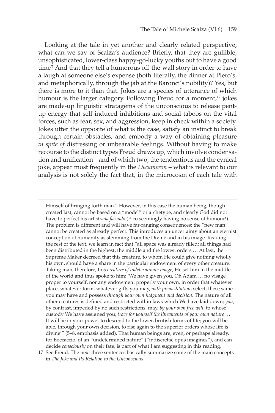Looking at the tale in yet another and clearly related perspective, what can we say of Scalza's audience? Briefly, that they are gullible, unsophisticated, lower-class happy-go-lucky youths out to have a good time? And that they tell a humorous off-the-wall story in order to have a laugh at someone else's expense (both literally, the dinner at Piero's, and metaphorically, through the jab at the Baronci's nobility)? Yes, but there is more to it than that. Jokes are a species of utterance of which humour is the larger category. Following Freud for a moment,<sup>17</sup> jokes are made-up linguistic stratagems of the unconscious to release pentup energy that self-induced inhibitions and social taboos on the vital forces, such as fear, sex, and aggression, keep in check within a society. Jokes utter the opposite of what is the case, satisfy an instinct to break through certain obstacles, and embody a way of obtaining pleasure *in spite of* distressing or unbearable feelings. Without having to make recourse to the distinct types Freud draws up, which involve condensation and unification – and of which two, the tendentious and the cynical joke, appear most frequently in the *Decameron* – what is relevant to our analysis is not solely the fact that, in the microcosm of each tale with

Himself of bringing forth man." However, in this case the human being, though created last, cannot be based on a "model" or archetype, and clearly God did not have to perfect his art *strada facendo* (Pico seemingly having no sense of humour!). The problem is different and will have far-ranging consequences: the "new man" cannot be created as already perfect. This introduces an uncertainty about an eternist conception of humanity as stemming from the Divine and in his image. Reading the rest of the text, we learn in fact that "all space was already filled; all things had been distributed in the highest, the middle and the lowest orders … At last, the Supreme Maker decreed that this creature, to whom He could give nothing wholly his own, should have a share in the particular endowment of every other creature. Taking man, therefore, this *creature of indeterminate image*, He set him in the middle of the world and thus spoke to him: 'We have given you, Oh Adam … no visage proper to yourself, nor any endowment properly your own, in order that whatever place, whatever form, whatever gifts you may, *with premeditation*, select, these same you may have and possess *through your own judgment and decision*. The nature of all other creatures is defined and restricted within laws which We have laid down; *you*, by contrast, impeded by no such restrictions, may, *by your own free will*, to whose custody We have assigned you, *trace for yourself the lineaments of your own nature* … It will be in your power to descend to the lower, brutish forms of life; you will be able, through your own decision, to rise again to the superior orders whose life is divine'" (5–8, emphasis added). That human beings are, even, or perhaps already, for Boccaccio, of an "undetermined nature" ("indiscretae opus imagines"), and can decide *consciously* on their fate, is part of what I am suggesting in this reading.

<sup>17</sup> See Freud. The next three sentences basically summarize some of the main concepts in *The Joke and Its Relation to the Unconscious*.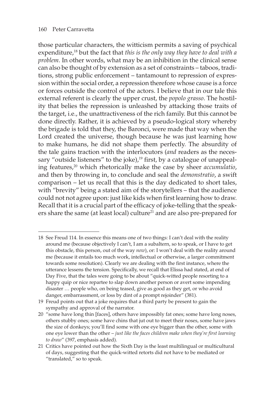those particular characters, the witticism permits a saving of psychical expenditure,18 but the fact that *this is the only way they have to deal with a problem*. In other words, what may be an inhibition in the clinical sense can also be thought of by extension as a set of constraints – taboos, traditions, strong public enforcement – tantamount to repression of expression within the social order, a repression therefore whose cause is a force or forces outside the control of the actors. I believe that in our tale this external referent is clearly the upper crust, the *popolo grasso*. The hostility that belies the repression is unleashed by attacking those traits of the target, i.e., the unattractiveness of the rich family. But this cannot be done directly. Rather, it is achieved by a pseudo-logical story whereby the brigade is told that they, the Baronci, were made that way when the Lord created the universe, though because he was just learning how to make humans, he did not shape them perfectly. The absurdity of the tale gains traction with the interlocutors (*and* readers as the necessary "outside listeners" to the joke),<sup>19</sup> first, by a catalogue of unappealing features,20 which rhetorically make the case by sheer *accumulatio*, and then by throwing in, to conclude and seal the *demonstratio*, a swift comparison – let us recall that this is the day dedicated to short tales, with "brevity" being a stated aim of the storytellers – that the audience could not not agree upon: just like kids when first learning how to draw. Recall that it is a crucial part of the efficacy of joke-telling that the speakers share the same (at least local) culture<sup>21</sup> and are also pre-prepared for

<sup>18</sup> See Freud 114. In essence this means one of two things: I can't deal with the reality around me (because objectively I can't, I am a subaltern, so to speak, or I have to get this obstacle, this person, out of the way *now*), or: I won't deal with the reality around me (because it entails too much work, intellectual or otherwise, a larger commitment towards some resolution). Clearly we are dealing with the first instance, where the utterance lessens the tension. Specifically, we recall that Elissa had stated, at end of Day Five, that the tales were going to be about "quick-witted people resorting to a happy quip or nice repartee to slap down another person or avert some impending disaster … people who, on being teased, give as good as they get, or who avoid danger, embarrassment, or loss by dint of a prompt rejoinder" (381).

<sup>19</sup> Freud points out that a joke requires that a third party be present to gain the sympathy and approval of the narrator.

<sup>20 &</sup>quot;some have long thin [faces], others have impossibly fat ones; some have long noses, others stubby ones; some have chins that jut out to meet their noses, some have jaws the size of donkeys; you'll find some with one eye bigger than the other, some with one eye lower than the other – *just like the faces children make when they're first learning to draw*" (397, emphasis added).

<sup>21</sup> Critics have pointed out how the Sixth Day is the least multilingual or multicultural of days, suggesting that the quick-witted retorts did not have to be mediated or "translated," so to speak.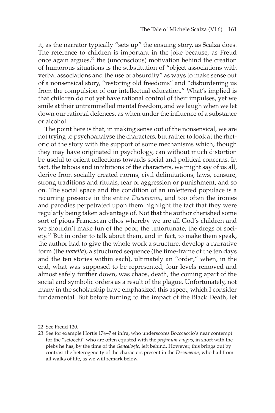it, as the narrator typically "sets up" the ensuing story, as Scalza does. The reference to children is important in the joke because, as Freud once again argues,<sup>22</sup> the (unconscious) motivation behind the creation of humorous situations is the substitution of "object-associations with verbal associations and the use of absurdity" as ways to make sense out of a nonsensical story, "restoring old freedoms" and "disburdening us from the compulsion of our intellectual education." What's implied is that children do not yet have rational control of their impulses, yet we smile at their untrammelled mental freedom, and we laugh when we let down our rational defences, as when under the influence of a substance or alcohol.

The point here is that, in making sense out of the nonsensical, we are not trying to psychoanalyse the characters, but rather to look at the rhetoric of the story with the support of some mechanisms which, though they may have originated in psychology, can without much distortion be useful to orient reflections towards social and political concerns. In fact, the taboos and inhibitions of the characters, we might say of us all, derive from socially created norms, civil delimitations, laws, censure, strong traditions and rituals, fear of aggression or punishment, and so on. The social space and the condition of an unlettered populace is a recurring presence in the entire *Decameron*, and too often the ironies and parodies perpetrated upon them highlight the fact that they were regularly being taken advantage of. Not that the author cherished some sort of pious Franciscan ethos whereby we are all God's children and we shouldn't make fun of the poor, the unfortunate, the dregs of society.23 But in order to talk about them, and in fact, to make them speak, the author had to give the whole work a structure, develop a narrative form (the *novella*), a structured sequence (the time-frame of the ten days and the ten stories within each), ultimately an "order," when, in the end, what was supposed to be represented, four levels removed and almost safely further down, was chaos, death, the coming apart of the social and symbolic orders as a result of the plague. Unfortunately, not many in the scholarship have emphasized this aspect, which I consider fundamental. But before turning to the impact of the Black Death, let

<sup>22</sup> See Freud 120.

<sup>23</sup> See for example Hortis 174–7 et infra, who underscores Bocccaccio's near contempt for the "sciocchi" who are often equated with the *profanum vulgus*, in short with the plebs he has, by the time of the *Genealogie*, left behind. However, this brings out by contrast the heterogeneity of the characters present in the *Decameron*, who hail from all walks of life, as we will remark below.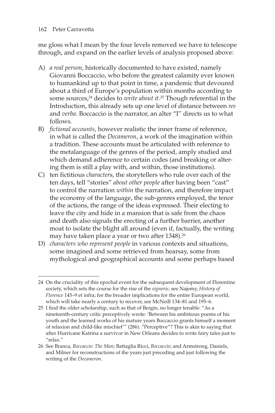me gloss what I mean by the four levels removed we have to telescope through, and expand on the earlier levels of analysis proposed above:

- A) *a real person*, historically documented to have existed, namely Giovanni Boccaccio, who before the greatest calamity ever known to humankind up to that point in time, a pandemic that devoured about a third of Europe's population within months according to some sources,24 decides to *write about it*. 25 Though referential in the Introduction, this already sets up one level of distance between *res*  and *verba*. Boccaccio is the narrator, an alter "I" directs us to what follows.
- B) *fictional accounts*, however realistic the inner frame of reference, in what is called the *Decameron*, a work of the imagination within a tradition. These accounts must be articulated with reference to the metalanguage of the genres of the period, amply studied and which demand adherence to certain codes (and breaking or altering them is still a play with, and within, those institutions).
- C) ten fictitious *character*s, the storytellers who rule over each of the ten days, tell "stories" *about other people* after having been "cast" to control the narration *within* the narration, and therefore impact the economy of the language, the sub-genres employed, the tenor of the actions, the range of the ideas expressed. Their electing to leave the city and hide in a mansion that is safe from the chaos and death also signals the erecting of a further barrier, another moat to isolate the blight all around (even if, factually, the writing may have taken place a year or two after 1348).<sup>26</sup>
- D) *characters who represent people* in various contexts and situations, some imagined and some retrieved from hearsay, some from mythological and geographical accounts and some perhaps based

<sup>24</sup> On the cruciality of this epochal event for the subsequent development of Florentine society, which sets the course for the rise of the *signorie*, see Najemy, *History of Florence* 145–9 et infra; for the broader implications for the entire European world, which will take nearly a century to recover, see McNeill 134–81 and 195–6.

<sup>25</sup> I find the older scholarship, such as that of Bergin, no longer tenable: "As a nineteenth-century critic perceptively wrote: 'Between his ambitious poems of his youth and the learned works of his mature years Boccaccio grants himself a moment of relaxion and child-like mischief'" (286). "Perceptive"? This is akin to saying that after Hurricane Katrina a survivor in New Orleans decides to write fairy tales just to "relax."

<sup>26</sup> See Branca, *Boccaccio: The Man*; Battaglia Ricci, *Boccaccio*; and Armstrong, Daniels, and Milner for reconstructions of the years just preceding and just following the writing of the *Decameron*.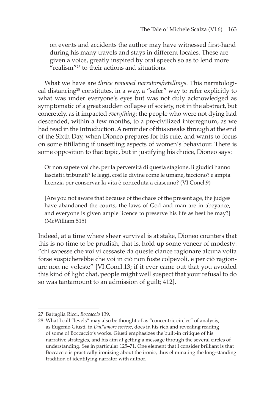on events and accidents the author may have witnessed first-hand during his many travels and stays in different locales. These are given a voice, greatly inspired by oral speech so as to lend more "realism"<sup>27</sup> to their actions and situations.

What we have are *thrice removed narrators/retellings*. This narratological distancing<sup>28</sup> constitutes, in a way, a "safer" way to refer explicitly to what was under everyone's eyes but was not duly acknowledged as symptomatic of a great sudden collapse of society, not in the abstract, but concretely, as it impacted *everything*: the people who were not dying had descended, within a few months, to a pre-civilized interregnum, as we had read in the Introduction. A reminder of this sneaks through at the end of the Sixth Day, when Dioneo prepares for his rule, and wants to focus on some titillating if unsettling aspects of women's behaviour. There is some opposition to that topic, but in justifying his choice, Dioneo says:

Or non sapete voi che, per la perversità di questa stagione, li giudici hanno lasciati i tribunali? le leggi, così le divine come le umane, tacciono? e ampia licenzia per conservar la vita è conceduta a ciascuno? (VI.Concl.9)

[Are you not aware that because of the chaos of the present age, the judges have abandoned the courts, the laws of God and man are in abeyance, and everyone is given ample licence to preserve his life as best he may?] (McWilliam 515)

Indeed, at a time where sheer survival is at stake, Dioneo counters that this is no time to be prudish, that is, hold up some veneer of modesty: "chi sapesse che voi vi cessaste da queste ciance ragionare alcuna volta forse suspicherebbe che voi in ciò non foste colpevoli, e per ciò ragionare non ne voleste" [VI.Concl.13; if it ever came out that you avoided this kind of light chat, people might well suspect that your refusal to do so was tantamount to an admission of guilt; 412].

<sup>27</sup> Battaglia Ricci, *Boccaccio* 139.

<sup>28</sup> What I call "levels" may also be thought of as "concentric circles" of analysis, as Eugenio Giusti, in *Dall'amore cortese*, does in his rich and revealing reading of some of Boccaccio's works. Giusti emphasizes the built-in critique of his narrative strategies, and his aim at getting a message through the several circles of understanding. See in particular 125–71. One element that I consider brilliant is that Boccaccio is practically ironizing about the ironic, thus eliminating the long-standing tradition of identifying narrator with author.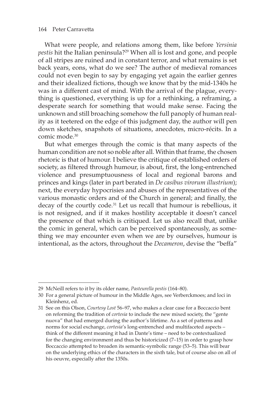What were people, and relations among them, like before *Yersinia pestis* hit the Italian peninsula?29 When all is lost and gone, and people of all stripes are ruined and in constant terror, and what remains is set back years, eons, what do we see? The author of medieval romances could not even begin to say by engaging yet again the earlier genres and their idealized fictions, though we know that by the mid-1340s he was in a different cast of mind. With the arrival of the plague, everything is questioned, everything is up for a rethinking, a reframing, a desperate search for something that would make sense. Facing the unknown and still broaching somehow the full panoply of human reality as it teetered on the edge of this judgment day, the author will pen down sketches, snapshots of situations, anecdotes, micro-récits. In a comic mode.30

But what emerges through the comic is that many aspects of the human condition are not so noble after all. Within that frame, the chosen rhetoric is that of humour. I believe the critique of established orders of society, as filtered through humour, is about, first, the long-entrenched violence and presumptuousness of local and regional barons and princes and kings (later in part berated in *De casibus virorum illustrium*); next, the everyday hypocrisies and abuses of the representatives of the various monastic orders and of the Church in general; and finally, the decay of the courtly code.<sup>31</sup> Let us recall that humour is rebellious, it is not resigned, and if it makes hostility acceptable it doesn't cancel the presence of that which is critiqued. Let us also recall that, unlike the comic in general, which can be perceived spontaneously, as something we may encounter even when we are by ourselves, humour is intentional, as the actors, throughout the *Decameron*, devise the "beffa"

<sup>29</sup> McNeill refers to it by its older name, *Pasteurella pestis* (164–80).

<sup>30</sup> For a general picture of humour in the Middle Ages, see Verberckmoes; and loci in Kleinhenz, ed.

<sup>31</sup> See on this Olson, *Courtesy Lost* 56–97, who makes a clear case for a Boccaccio bent on reforming the tradition of *cortesia* to include the new mixed society, the "gente nuova" that had emerged during the author's lifetime. As a set of patterns and norms for social exchange, *cortesia*'s long-entrenched and multifaceted aspects – think of the different meaning it had in Dante's time – need to be contextualized for the changing environment and thus be historicized (7–15) in order to grasp how Boccaccio attempted to broaden its semantic-symbolic range (53–5). This will bear on the underlying ethics of the characters in the sixth tale, but of course also on all of his oeuvre, especially after the 1350s.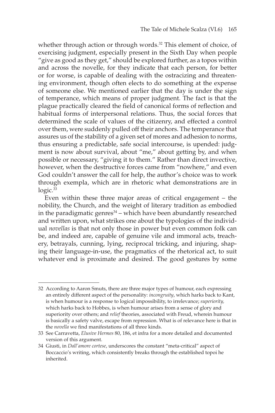whether through action or through words.<sup>32</sup> This element of choice, of exercising judgment, especially present in the Sixth Day when people "give as good as they get," should be explored further, as a topos within and across the novelle, for they indicate that each person, for better or for worse, is capable of dealing with the ostracizing and threatening environment, though often elects to do something at the expense of someone else. We mentioned earlier that the day is under the sign of temperance, which means of proper judgment. The fact is that the plague practically cleared the field of canonical forms of reflection and habitual forms of interpersonal relations. Thus, the social forces that determined the scale of values of the citizenry, and effected a control over them, were suddenly pulled off their anchors. The temperance that assures us of the stability of a given set of mores and adhesion to norms, thus ensuring a predictable, safe social intercourse, is upended: judgment is now about survival, about "me," about getting by, and when possible or necessary, "giving it to them." Rather than direct invective, however, when the destructive forces came from "nowhere," and even God couldn't answer the call for help, the author's choice was to work through exempla, which are in rhetoric what demonstrations are in logic.<sup>33</sup>

Even within these three major areas of critical engagement – the nobility, the Church, and the weight of literary tradition as embodied in the paradigmatic genres $34$  – which have been abundantly researched and written upon, what strikes one about the typologies of the individual *novellas* is that not only those in power but even common folk can be, and indeed are, capable of genuine vile and immoral acts, treachery, betrayals, cunning, lying, reciprocal tricking, and injuring, shaping their language-in-use, the pragmatics of the rhetorical act, to suit whatever end is proximate and desired. The good gestures by some

<sup>32</sup> According to Aaron Smuts, there are three major types of humour, each expressing an entirely different aspect of the personality: *incongruity*, which harks back to Kant, is when humour is a response to logical impossibility, to irrelevance; *superiority,*  which harks back to Hobbes, is when humour arises from a sense of glory and superiority over others; and *relief* theories, associated with Freud, wherein humour is basically a safety valve, escape from repression. What is of relevance here is that in the *novella* we find manifestations of all three kinds.

<sup>33</sup> See Carravetta, *Elusive Hermes* 80, 186, et infra for a more detailed and documented version of this argument.

<sup>34</sup> Giusti, in *Dall'amore cortese*, underscores the constant "meta-critical" aspect of Boccaccio's writing, which consistently breaks through the established topoi he inherited.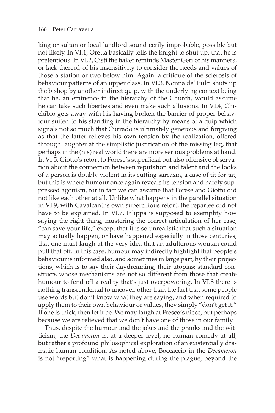king or sultan or local landlord sound eerily improbable, possible but not likely. In VI.1, Oretta basically tells the knight to shut up, that he is pretentious. In VI.2, Cisti the baker reminds Master Geri of his manners, or lack thereof, of his insensitivity to consider the needs and values of those a station or two below him. Again, a critique of the sclerosis of behaviour patterns of an upper class. In VI.3, Nonna de' Pulci shuts up the bishop by another indirect quip, with the underlying context being that he, an eminence in the hierarchy of the Church, would assume he can take such liberties and even make such allusions. In VI.4, Chichibio gets away with his having broken the barrier of proper behaviour suited to his standing in the hierarchy by means of a quip which signals not so much that Currado is ultimately generous and forgiving as that the latter relieves his own tension by the realization, offered through laughter at the simplistic justification of the missing leg, that perhaps in the (his) real world there are more serious problems at hand. In VI.5, Giotto's retort to Forese's superficial but also offensive observation about the connection between reputation and talent and the looks of a person is doubly violent in its cutting sarcasm, a case of tit for tat, but this is where humour once again reveals its tension and barely suppressed agonism, for in fact we can assume that Forese and Giotto did not like each other at all. Unlike what happens in the parallel situation in VI.9, with Cavalcanti's own supercilious retort, the repartee did not have to be explained. In VI.7, Filippa is supposed to exemplify how saying the right thing, mustering the correct articulation of her case, "can save your life," except that it is so unrealistic that such a situation may actually happen, or have happened especially in those centuries, that one must laugh at the very idea that an adulterous woman could pull that off. In this case, humour may indirectly highlight that people's behaviour is informed also, and sometimes in large part, by their projections, which is to say their daydreaming, their utopias: standard constructs whose mechanisms are not so different from those that create humour to fend off a reality that's just overpowering. In VI.8 there is nothing transcendental to uncover, other than the fact that some people use words but don't know what they are saying, and when required to apply them to their own behaviour or values, they simply "don't get it." If one is thick, then let it be. We may laugh at Fresco's niece, but perhaps because we are relieved that we don't have one of those in our family.

Thus, despite the humour and the jokes and the pranks and the witticism, the *Decameron* is, at a deeper level, no human comedy at all, but rather a profound philosophical exploration of an existentially dramatic human condition. As noted above, Boccaccio in the *Decameron*  is not "reporting" what is happening during the plague, beyond the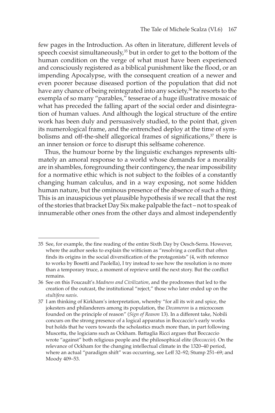few pages in the Introduction. As often in literature, different levels of speech coexist simultaneously,<sup>35</sup> but in order to get to the bottom of the human condition on the verge of what must have been experienced and consciously registered as a biblical punishment like the flood, or an impending Apocalypse, with the consequent creation of a newer and even poorer because diseased portion of the population that did not have any chance of being reintegrated into any society,<sup>36</sup> he resorts to the exempla of so many "parables," tesserae of a huge illustrative mosaic of what has preceded the falling apart of the social order and disintegration of human values. And although the logical structure of the entire work has been duly and persuasively studied, to the point that, given its numerological frame, and the entrenched deploy at the time of symbolisms and off-the-shelf allegorical frames of significations, $37$  there is an inner tension or force to disrupt this selfsame coherence.

Thus, the humour borne by the linguistic exchanges represents ultimately an amoral response to a world whose demands for a morality are in shambles, foregrounding their contingency, the near impossibility for a normative ethic which is not subject to the foibles of a constantly changing human calculus, and in a way exposing, not some hidden human nature, but the ominous presence of the absence of such a thing. This is an inauspicious yet plausible hypothesis if we recall that the rest of the stories that bracket Day Six make palpable the fact – not to speak of innumerable other ones from the other days and almost independently

<sup>35</sup> See, for example, the fine reading of the entire Sixth Day by Oesch-Serra. However, where the author seeks to explain the witticism as "resolving a conflict that often finds its origins in the social diversification of the protagonists" (4, with reference to works by Bosetti and Paolella), I try instead to see how the resolution is no more than a temporary truce, a moment of reprieve until the next story. But the conflict remains.

<sup>36</sup> See on this Foucault's *Madness and Civilization*, and the prodromes that led to the creation of the outcast, the institutional "reject," those who later ended up on the *stultifera navis*.

<sup>37</sup> I am thinking of Kirkham's interpretation, whereby "for all its wit and spice, the jokesters and philanderers among its population, the *Decameron* is a microcosm founded on the principle of reason" (*Sign of Reason* 13). In a different take, Nobili concurs on the strong presence of a logical apparatus in Boccaccio's early works but holds that he veers towards the scholastics much more than, in part following Muscetta, the logicians such as Ockham. Battaglia Ricci argues that Boccaccio wrote "against" both religious people and the philosophical elite (*Boccaccio*). On the relevance of Ockham for the changing intellectual climate in the 1320–40 period, where an actual "paradigm shift" was occurring, see Leff 32–92; Stump 251–69; and Moody 409–53.